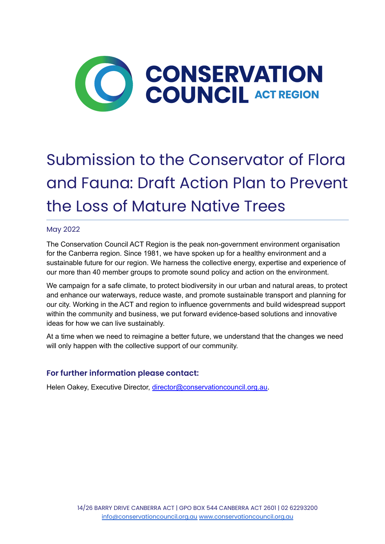

# Submission to the Conservator of Flora and Fauna: Draft Action Plan to Prevent the Loss of Mature Native Trees

#### May 2022

The Conservation Council ACT Region is the peak non-government environment organisation for the Canberra region. Since 1981, we have spoken up for a healthy environment and a sustainable future for our region. We harness the collective energy, expertise and experience of our more than 40 member groups to promote sound policy and action on the environment.

We campaign for a safe climate, to protect biodiversity in our urban and natural areas, to protect and enhance our waterways, reduce waste, and promote sustainable transport and planning for our city. Working in the ACT and region to influence governments and build widespread support within the community and business, we put forward evidence-based solutions and innovative ideas for how we can live sustainably.

At a time when we need to reimagine a better future, we understand that the changes we need will only happen with the collective support of our community.

## **For further information please contact:**

Helen Oakey, Executive Director, [director@conservationcouncil.org.au](mailto:director@conservationcouncil.org.au).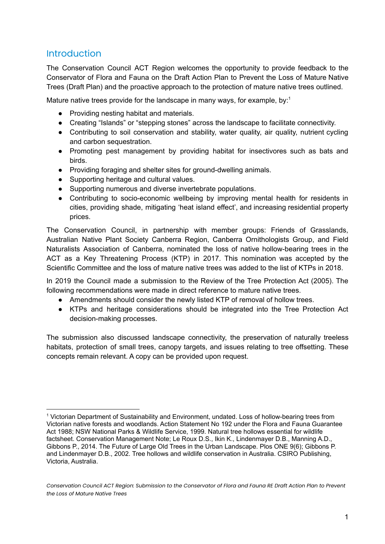## **Introduction**

The Conservation Council ACT Region welcomes the opportunity to provide feedback to the Conservator of Flora and Fauna on the Draft Action Plan to Prevent the Loss of Mature Native Trees (Draft Plan) and the proactive approach to the protection of mature native trees outlined.

Mature native trees provide for the landscape in many ways, for example, by: $1$ 

- Providing nesting habitat and materials.
- Creating "Islands" or "stepping stones" across the landscape to facilitate connectivity.
- Contributing to soil conservation and stability, water quality, air quality, nutrient cycling and carbon sequestration.
- Promoting pest management by providing habitat for insectivores such as bats and birds.
- Providing foraging and shelter sites for ground-dwelling animals.
- Supporting heritage and cultural values.
- Supporting numerous and diverse invertebrate populations.
- Contributing to socio-economic wellbeing by improving mental health for residents in cities, providing shade, mitigating 'heat island effect', and increasing residential property prices.

The Conservation Council, in partnership with member groups: Friends of Grasslands, Australian Native Plant Society Canberra Region, Canberra Ornithologists Group, and Field Naturalists Association of Canberra, nominated the loss of native hollow-bearing trees in the ACT as a Key Threatening Process (KTP) in 2017. This nomination was accepted by the Scientific Committee and the loss of mature native trees was added to the list of KTPs in 2018.

In 2019 the Council made a submission to the Review of the Tree Protection Act (2005). The following recommendations were made in direct reference to mature native trees.

- Amendments should consider the newly listed KTP of removal of hollow trees.
- KTPs and heritage considerations should be integrated into the Tree Protection Act decision-making processes.

The submission also discussed landscape connectivity, the preservation of naturally treeless habitats, protection of small trees, canopy targets, and issues relating to tree offsetting. These concepts remain relevant. A copy can be provided upon request.

<sup>1</sup> Victorian Department of Sustainability and Environment, undated. Loss of hollow-bearing trees from Victorian native forests and woodlands. Action Statement No 192 under the Flora and Fauna Guarantee Act 1988; NSW National Parks & Wildlife Service, 1999. Natural tree hollows essential for wildlife factsheet. Conservation Management Note; Le Roux D.S., Ikin K., Lindenmayer D.B., Manning A.D., Gibbons P., 2014. The Future of Large Old Trees in the Urban Landscape. Plos ONE 9(6); Gibbons P. and Lindenmayer D.B., 2002. Tree hollows and wildlife conservation in Australia. CSIRO Publishing, Victoria, Australia.

Conservation Council ACT Region: Submission to the Conservator of Flora and Fauna RE Draft Action Plan to Prevent *the Loss of Mature Native Trees*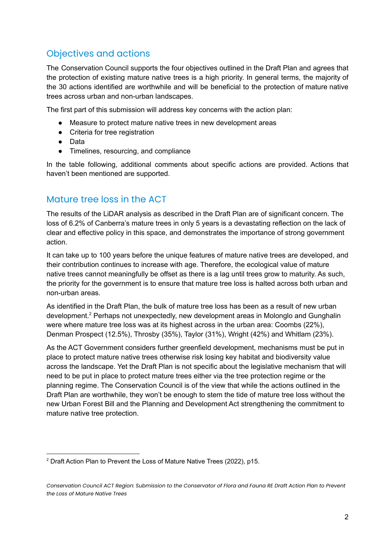## Objectives and actions

The Conservation Council supports the four objectives outlined in the Draft Plan and agrees that the protection of existing mature native trees is a high priority. In general terms, the majority of the 30 actions identified are worthwhile and will be beneficial to the protection of mature native trees across urban and non-urban landscapes.

The first part of this submission will address key concerns with the action plan:

- Measure to protect mature native trees in new development areas
- Criteria for tree registration
- Data
- Timelines, resourcing, and compliance

In the table following, additional comments about specific actions are provided. Actions that haven't been mentioned are supported.

## Mature tree loss in the ACT

The results of the LiDAR analysis as described in the Draft Plan are of significant concern. The loss of 6.2% of Canberra's mature trees in only 5 years is a devastating reflection on the lack of clear and effective policy in this space, and demonstrates the importance of strong government action.

It can take up to 100 years before the unique features of mature native trees are developed, and their contribution continues to increase with age. Therefore, the ecological value of mature native trees cannot meaningfully be offset as there is a lag until trees grow to maturity. As such, the priority for the government is to ensure that mature tree loss is halted across both urban and non-urban areas.

As identified in the Draft Plan, the bulk of mature tree loss has been as a result of new urban development. <sup>2</sup> Perhaps not unexpectedly, new development areas in Molonglo and Gunghalin were where mature tree loss was at its highest across in the urban area: Coombs (22%), Denman Prospect (12.5%), Throsby (35%), Taylor (31%), Wright (42%) and Whitlam (23%).

As the ACT Government considers further greenfield development, mechanisms must be put in place to protect mature native trees otherwise risk losing key habitat and biodiversity value across the landscape. Yet the Draft Plan is not specific about the legislative mechanism that will need to be put in place to protect mature trees either via the tree protection regime or the planning regime. The Conservation Council is of the view that while the actions outlined in the Draft Plan are worthwhile, they won't be enough to stem the tide of mature tree loss without the new Urban Forest Bill and the Planning and Development Act strengthening the commitment to mature native tree protection.

<sup>&</sup>lt;sup>2</sup> Draft Action Plan to Prevent the Loss of Mature Native Trees (2022), p15.

Conservation Council ACT Region: Submission to the Conservator of Flora and Fauna RE Draft Action Plan to Prevent *the Loss of Mature Native Trees*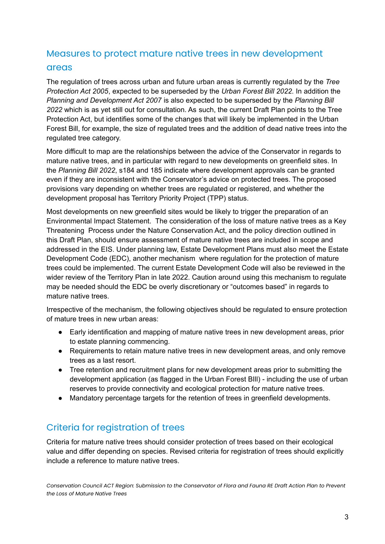# Measures to protect mature native trees in new development

### areas

The regulation of trees across urban and future urban areas is currently regulated by the *Tree Protection Act 2005*, expected to be superseded by the *Urban Forest Bill 2022.* In addition the *Planning and Development Act 2007* is also expected to be superseded by the *Planning Bill 2022* which is as yet still out for consultation. As such, the current Draft Plan points to the Tree Protection Act, but identifies some of the changes that will likely be implemented in the Urban Forest Bill, for example, the size of regulated trees and the addition of dead native trees into the regulated tree category.

More difficult to map are the relationships between the advice of the Conservator in regards to mature native trees, and in particular with regard to new developments on greenfield sites. In the *Planning Bill 2022*, s184 and 185 indicate where development approvals can be granted even if they are inconsistent with the Conservator's advice on protected trees. The proposed provisions vary depending on whether trees are regulated or registered, and whether the development proposal has Territory Priority Project (TPP) status.

Most developments on new greenfield sites would be likely to trigger the preparation of an Environmental Impact Statement. The consideration of the loss of mature native trees as a Key Threatening Process under the Nature Conservation Act, and the policy direction outlined in this Draft Plan, should ensure assessment of mature native trees are included in scope and addressed in the EIS. Under planning law, Estate Development Plans must also meet the Estate Development Code (EDC), another mechanism where regulation for the protection of mature trees could be implemented. The current Estate Development Code will also be reviewed in the wider review of the Territory Plan in late 2022. Caution around using this mechanism to regulate may be needed should the EDC be overly discretionary or "outcomes based" in regards to mature native trees.

Irrespective of the mechanism, the following objectives should be regulated to ensure protection of mature trees in new urban areas:

- Early identification and mapping of mature native trees in new development areas, prior to estate planning commencing.
- Requirements to retain mature native trees in new development areas, and only remove trees as a last resort.
- Tree retention and recruitment plans for new development areas prior to submitting the development application (as flagged in the Urban Forest BIll) - including the use of urban reserves to provide connectivity and ecological protection for mature native trees.
- Mandatory percentage targets for the retention of trees in greenfield developments.

## Criteria for registration of trees

Criteria for mature native trees should consider protection of trees based on their ecological value and differ depending on species. Revised criteria for registration of trees should explicitly include a reference to mature native trees.

Conservation Council ACT Region: Submission to the Conservator of Flora and Fauna RE Draft Action Plan to Prevent *the Loss of Mature Native Trees*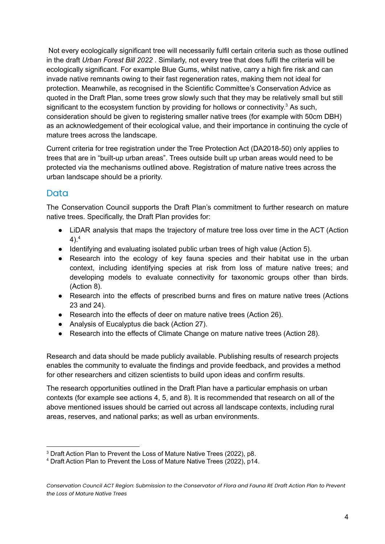Not every ecologically significant tree will necessarily fulfil certain criteria such as those outlined in the draft *Urban Forest Bill 2022* . Similarly, not every tree that does fulfil the criteria will be ecologically significant. For example Blue Gums, whilst native, carry a high fire risk and can invade native remnants owing to their fast regeneration rates, making them not ideal for protection. Meanwhile, as recognised in the Scientific Committee's Conservation Advice as quoted in the Draft Plan, some trees grow slowly such that they may be relatively small but still significant to the ecosystem function by providing for hollows or connectivity.<sup>3</sup> As such, consideration should be given to registering smaller native trees (for example with 50cm DBH) as an acknowledgement of their ecological value, and their importance in continuing the cycle of mature trees across the landscape.

Current criteria for tree registration under the Tree Protection Act (DA2018-50) only applies to trees that are in "built-up urban areas". Trees outside built up urban areas would need to be protected via the mechanisms outlined above. Registration of mature native trees across the urban landscape should be a priority.

## Data

The Conservation Council supports the Draft Plan's commitment to further research on mature native trees. Specifically, the Draft Plan provides for:

- LiDAR analysis that maps the trajectory of mature tree loss over time in the ACT (Action 4). 4
- Identifying and evaluating isolated public urban trees of high value (Action 5).
- Research into the ecology of key fauna species and their habitat use in the urban context, including identifying species at risk from loss of mature native trees; and developing models to evaluate connectivity for taxonomic groups other than birds. (Action 8).
- Research into the effects of prescribed burns and fires on mature native trees (Actions 23 and 24).
- Research into the effects of deer on mature native trees (Action 26).
- Analysis of Eucalyptus die back (Action 27).
- Research into the effects of Climate Change on mature native trees (Action 28).

Research and data should be made publicly available. Publishing results of research projects enables the community to evaluate the findings and provide feedback, and provides a method for other researchers and citizen scientists to build upon ideas and confirm results.

The research opportunities outlined in the Draft Plan have a particular emphasis on urban contexts (for example see actions 4, 5, and 8). It is recommended that research on all of the above mentioned issues should be carried out across all landscape contexts, including rural areas, reserves, and national parks; as well as urban environments.

<sup>3</sup> Draft Action Plan to Prevent the Loss of Mature Native Trees (2022), p8.

<sup>4</sup> Draft Action Plan to Prevent the Loss of Mature Native Trees (2022), p14.

Conservation Council ACT Region: Submission to the Conservator of Flora and Fauna RE Draft Action Plan to Prevent *the Loss of Mature Native Trees*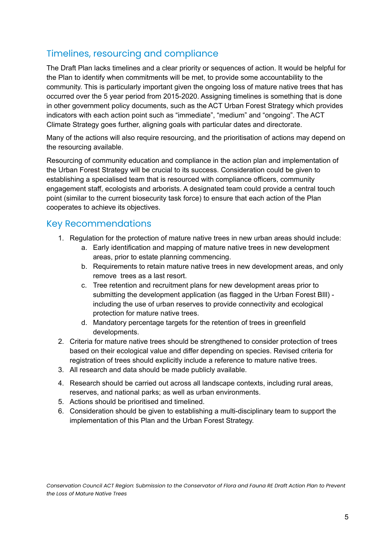# Timelines, resourcing and compliance

The Draft Plan lacks timelines and a clear priority or sequences of action. It would be helpful for the Plan to identify when commitments will be met, to provide some accountability to the community. This is particularly important given the ongoing loss of mature native trees that has occurred over the 5 year period from 2015-2020. Assigning timelines is something that is done in other government policy documents, such as the ACT Urban Forest Strategy which provides indicators with each action point such as "immediate", "medium" and "ongoing". The ACT Climate Strategy goes further, aligning goals with particular dates and directorate.

Many of the actions will also require resourcing, and the prioritisation of actions may depend on the resourcing available.

Resourcing of community education and compliance in the action plan and implementation of the Urban Forest Strategy will be crucial to its success. Consideration could be given to establishing a specialised team that is resourced with compliance officers, community engagement staff, ecologists and arborists. A designated team could provide a central touch point (similar to the current biosecurity task force) to ensure that each action of the Plan cooperates to achieve its objectives.

## Key Recommendations

- 1. Regulation for the protection of mature native trees in new urban areas should include:
	- a. Early identification and mapping of mature native trees in new development areas, prior to estate planning commencing.
	- b. Requirements to retain mature native trees in new development areas, and only remove trees as a last resort.
	- c. Tree retention and recruitment plans for new development areas prior to submitting the development application (as flagged in the Urban Forest BIll) including the use of urban reserves to provide connectivity and ecological protection for mature native trees.
	- d. Mandatory percentage targets for the retention of trees in greenfield developments.
- 2. Criteria for mature native trees should be strengthened to consider protection of trees based on their ecological value and differ depending on species. Revised criteria for registration of trees should explicitly include a reference to mature native trees.
- 3. All research and data should be made publicly available.
- 4. Research should be carried out across all landscape contexts, including rural areas, reserves, and national parks; as well as urban environments.
- 5. Actions should be prioritised and timelined.
- 6. Consideration should be given to establishing a multi-disciplinary team to support the implementation of this Plan and the Urban Forest Strategy.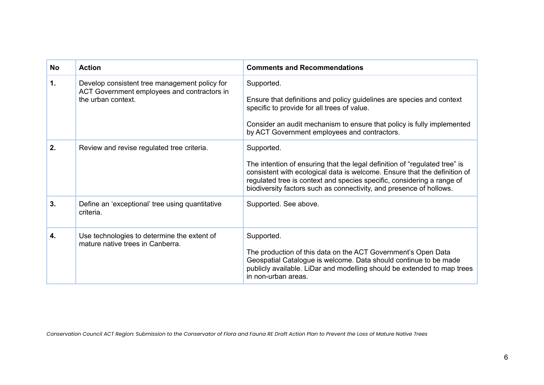| <b>No</b> | <b>Action</b>                                                                                                      | <b>Comments and Recommendations</b>                                                                                                                                                                                                                                                                                    |
|-----------|--------------------------------------------------------------------------------------------------------------------|------------------------------------------------------------------------------------------------------------------------------------------------------------------------------------------------------------------------------------------------------------------------------------------------------------------------|
| 1.        | Develop consistent tree management policy for<br>ACT Government employees and contractors in<br>the urban context. | Supported.<br>Ensure that definitions and policy guidelines are species and context<br>specific to provide for all trees of value.<br>Consider an audit mechanism to ensure that policy is fully implemented<br>by ACT Government employees and contractors.                                                           |
| 2.        | Review and revise regulated tree criteria.                                                                         | Supported.<br>The intention of ensuring that the legal definition of "regulated tree" is<br>consistent with ecological data is welcome. Ensure that the definition of<br>regulated tree is context and species specific, considering a range of<br>biodiversity factors such as connectivity, and presence of hollows. |
| 3.        | Define an 'exceptional' tree using quantitative<br>criteria.                                                       | Supported. See above.                                                                                                                                                                                                                                                                                                  |
| 4.        | Use technologies to determine the extent of<br>mature native trees in Canberra.                                    | Supported.<br>The production of this data on the ACT Government's Open Data<br>Geospatial Catalogue is welcome. Data should continue to be made<br>publicly available. LiDar and modelling should be extended to map trees<br>in non-urban areas.                                                                      |

Conservation Council ACT Region: Submission to the Conservator of Flora and Fauna RE Draft Action Plan to Prevent the Loss of Mature Native Trees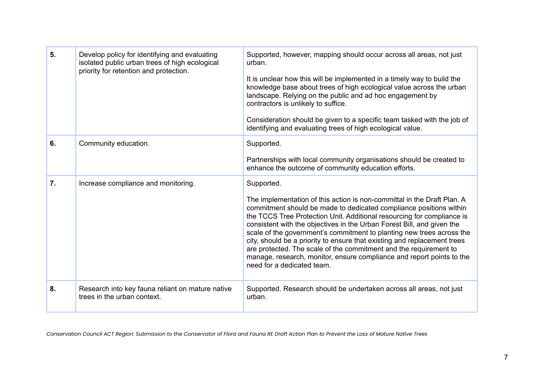| 5. | Develop policy for identifying and evaluating<br>isolated public urban trees of high ecological<br>priority for retention and protection. | Supported, however, mapping should occur across all areas, not just<br>urban.<br>It is unclear how this will be implemented in a timely way to build the<br>knowledge base about trees of high ecological value across the urban<br>landscape. Relying on the public and ad hoc engagement by<br>contractors is unlikely to suffice.<br>Consideration should be given to a specific team tasked with the job of<br>identifying and evaluating trees of high ecological value.                                                                                                                                                                    |
|----|-------------------------------------------------------------------------------------------------------------------------------------------|--------------------------------------------------------------------------------------------------------------------------------------------------------------------------------------------------------------------------------------------------------------------------------------------------------------------------------------------------------------------------------------------------------------------------------------------------------------------------------------------------------------------------------------------------------------------------------------------------------------------------------------------------|
| 6. | Community education.                                                                                                                      | Supported.<br>Partnerships with local community organisations should be created to<br>enhance the outcome of community education efforts.                                                                                                                                                                                                                                                                                                                                                                                                                                                                                                        |
| 7. | Increase compliance and monitoring.                                                                                                       | Supported.<br>The implementation of this action is non-committal in the Draft Plan. A<br>commitment should be made to dedicated compliance positions within<br>the TCCS Tree Protection Unit. Additional resourcing for compliance is<br>consistent with the objectives in the Urban Forest Bill, and given the<br>scale of the government's commitment to planting new trees across the<br>city, should be a priority to ensure that existing and replacement trees<br>are protected. The scale of the commitment and the requirement to<br>manage, research, monitor, ensure compliance and report points to the<br>need for a dedicated team. |
| 8. | Research into key fauna reliant on mature native<br>trees in the urban context.                                                           | Supported. Research should be undertaken across all areas, not just<br>urban.                                                                                                                                                                                                                                                                                                                                                                                                                                                                                                                                                                    |

Conservation Council ACT Region: Submission to the Conservator of Flora and Fauna RE Draft Action Plan to Prevent the Loss of Mature Native Trees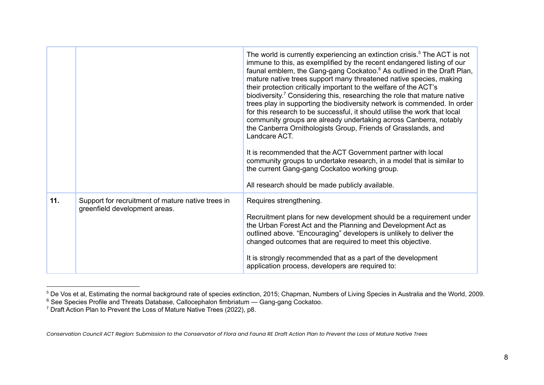|     |                                                                                    | The world is currently experiencing an extinction crisis. <sup>5</sup> The ACT is not<br>immune to this, as exemplified by the recent endangered listing of our<br>faunal emblem, the Gang-gang Cockatoo. <sup>6</sup> As outlined in the Draft Plan,<br>mature native trees support many threatened native species, making<br>their protection critically important to the welfare of the ACT's<br>biodiversity. <sup>7</sup> Considering this, researching the role that mature native<br>trees play in supporting the biodiversity network is commended. In order<br>for this research to be successful, it should utilise the work that local<br>community groups are already undertaking across Canberra, notably<br>the Canberra Ornithologists Group, Friends of Grasslands, and<br>Landcare ACT.<br>It is recommended that the ACT Government partner with local<br>community groups to undertake research, in a model that is similar to<br>the current Gang-gang Cockatoo working group.<br>All research should be made publicly available. |
|-----|------------------------------------------------------------------------------------|-------------------------------------------------------------------------------------------------------------------------------------------------------------------------------------------------------------------------------------------------------------------------------------------------------------------------------------------------------------------------------------------------------------------------------------------------------------------------------------------------------------------------------------------------------------------------------------------------------------------------------------------------------------------------------------------------------------------------------------------------------------------------------------------------------------------------------------------------------------------------------------------------------------------------------------------------------------------------------------------------------------------------------------------------------|
| 11. | Support for recruitment of mature native trees in<br>greenfield development areas. | Requires strengthening.<br>Recruitment plans for new development should be a requirement under<br>the Urban Forest Act and the Planning and Development Act as<br>outlined above. "Encouraging" developers is unlikely to deliver the<br>changed outcomes that are required to meet this objective.<br>It is strongly recommended that as a part of the development<br>application process, developers are required to:                                                                                                                                                                                                                                                                                                                                                                                                                                                                                                                                                                                                                               |

<sup>&</sup>lt;sup>5</sup> De Vos et al, Estimating the normal background rate of species extinction, 2015; Chapman, Numbers of Living Species in Australia and the World, 2009.

 $6$  See Species Profile and Threats Database, Callocephalon fimbriatum — Gang-gang Cockatoo.

 $7$  Draft Action Plan to Prevent the Loss of Mature Native Trees (2022), p8.

Conservation Council ACT Region: Submission to the Conservator of Flora and Fauna RE Draft Action Plan to Prevent the Loss of Mature Native Trees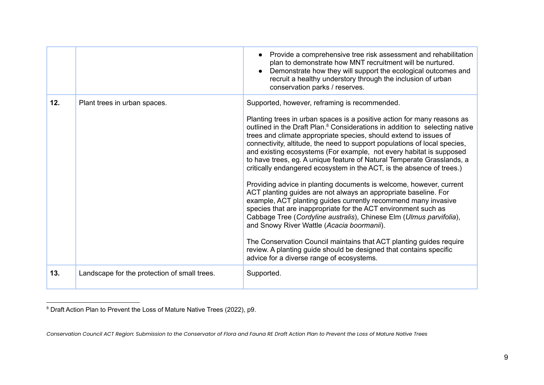|     |                                              | Provide a comprehensive tree risk assessment and rehabilitation<br>plan to demonstrate how MNT recruitment will be nurtured.<br>Demonstrate how they will support the ecological outcomes and<br>recruit a healthy understory through the inclusion of urban<br>conservation parks / reserves.                                                                                                                                                                                                                                                                                                                                                                                                                                                                                                                                                                                                                                                                                                                                                                                                                                                                                               |
|-----|----------------------------------------------|----------------------------------------------------------------------------------------------------------------------------------------------------------------------------------------------------------------------------------------------------------------------------------------------------------------------------------------------------------------------------------------------------------------------------------------------------------------------------------------------------------------------------------------------------------------------------------------------------------------------------------------------------------------------------------------------------------------------------------------------------------------------------------------------------------------------------------------------------------------------------------------------------------------------------------------------------------------------------------------------------------------------------------------------------------------------------------------------------------------------------------------------------------------------------------------------|
| 12. | Plant trees in urban spaces.                 | Supported, however, reframing is recommended.<br>Planting trees in urban spaces is a positive action for many reasons as<br>outlined in the Draft Plan. <sup>8</sup> Considerations in addition to selecting native<br>trees and climate appropriate species, should extend to issues of<br>connectivity, altitude, the need to support populations of local species,<br>and existing ecosystems (For example, not every habitat is supposed<br>to have trees, eg. A unique feature of Natural Temperate Grasslands, a<br>critically endangered ecosystem in the ACT, is the absence of trees.)<br>Providing advice in planting documents is welcome, however, current<br>ACT planting guides are not always an appropriate baseline. For<br>example, ACT planting guides currently recommend many invasive<br>species that are inappropriate for the ACT environment such as<br>Cabbage Tree (Cordyline australis), Chinese Elm (Ulmus parvifolia),<br>and Snowy River Wattle (Acacia boormanii).<br>The Conservation Council maintains that ACT planting guides require<br>review. A planting guide should be designed that contains specific<br>advice for a diverse range of ecosystems. |
| 13. | Landscape for the protection of small trees. | Supported.                                                                                                                                                                                                                                                                                                                                                                                                                                                                                                                                                                                                                                                                                                                                                                                                                                                                                                                                                                                                                                                                                                                                                                                   |

<sup>8</sup> Draft Action Plan to Prevent the Loss of Mature Native Trees (2022), p9.

Conservation Council ACT Region: Submission to the Conservator of Flora and Fauna RE Draft Action Plan to Prevent the Loss of Mature Native Trees